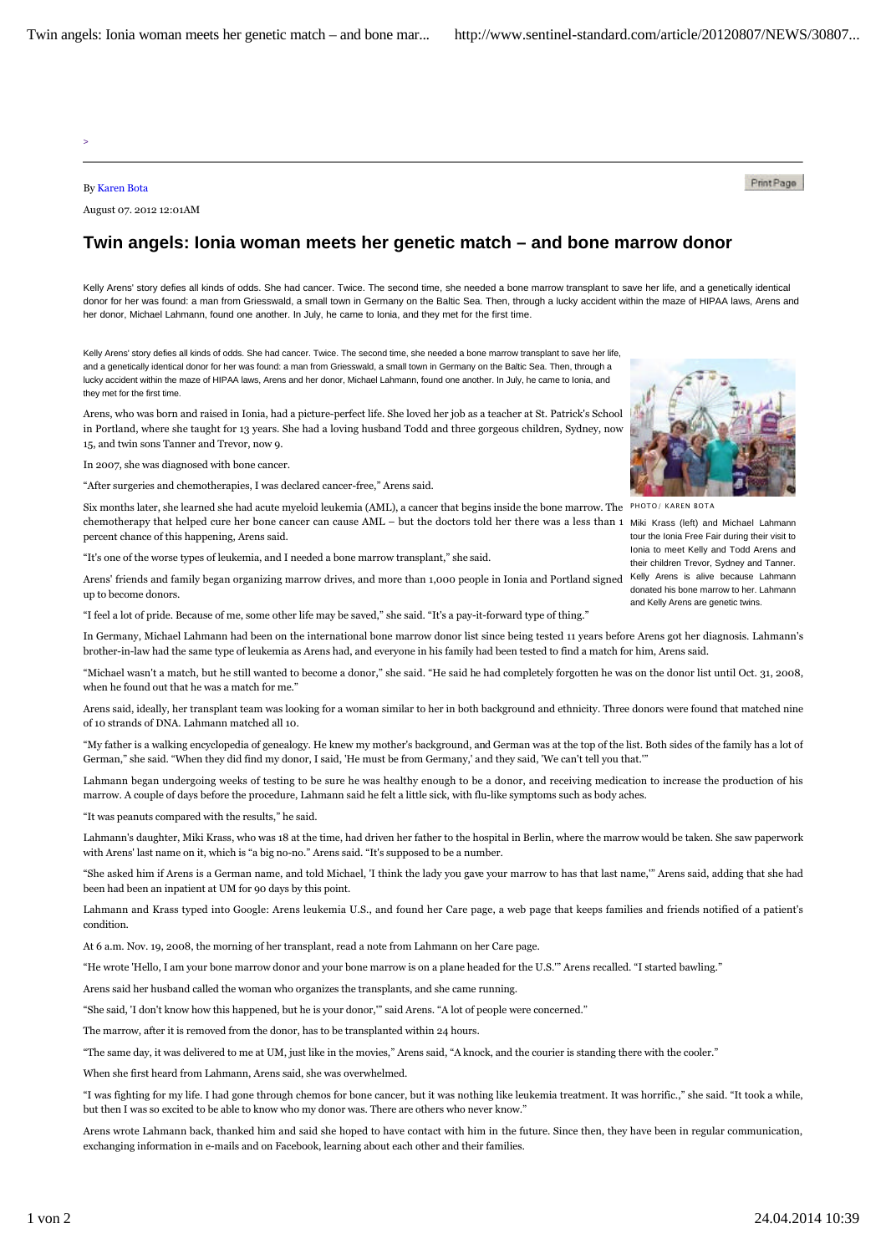>

## By Karen Bota

August 07. 2012 12:01AM

## **Twin angels: Ionia woman meets her genetic match – and bone marrow donor**

Kelly Arens' story defies all kinds of odds. She had cancer. Twice. The second time, she needed a bone marrow transplant to save her life, and a genetically identical donor for her was found: a man from Griesswald, a small town in Germany on the Baltic Sea. Then, through a lucky accident within the maze of HIPAA laws, Arens and her donor, Michael Lahmann, found one another. In July, he came to Ionia, and they met for the first time.

Kelly Arens' story defies all kinds of odds. She had cancer. Twice. The second time, she needed a bone marrow transplant to save her life, and a genetically identical donor for her was found: a man from Griesswald, a small town in Germany on the Baltic Sea. Then, through a lucky accident within the maze of HIPAA laws, Arens and her donor, Michael Lahmann, found one another. In July, he came to Ionia, and they met for the first time.

Arens, who was born and raised in Ionia, had a picture-perfect life. She loved her job as a teacher at St. Patrick's School in Portland, where she taught for 13 years. She had a loving husband Todd and three gorgeous children, Sydney, now 15, and twin sons Tanner and Trevor, now 9.

In 2007, she was diagnosed with bone cancer.

"After surgeries and chemotherapies, I was declared cancer-free," Arens said.

Six months later, she learned she had acute myeloid leukemia (AML), a cancer that begins inside the bone marrow. The PHOTO/KAREN BOTA chemotherapy that helped cure her bone cancer can cause AML – but the doctors told her there was a less than 1 Miki Krass (left) and Michael Lahmann percent chance of this happening, Arens said.

"It's one of the worse types of leukemia, and I needed a bone marrow transplant," she said.

Arens' friends and family began organizing marrow drives, and more than 1,000 people in Ionia and Portland signed Kelly Arens is alive because Lahmann up to become donors.

"I feel a lot of pride. Because of me, some other life may be saved," she said. "It's a pay-it-forward type of thing."

In Germany, Michael Lahmann had been on the international bone marrow donor list since being tested 11 years before Arens got her diagnosis. Lahmann's brother-in-law had the same type of leukemia as Arens had, and everyone in his family had been tested to find a match for him, Arens said.

"Michael wasn't a match, but he still wanted to become a donor," she said. "He said he had completely forgotten he was on the donor list until Oct. 31, 2008, when he found out that he was a match for me.'

Arens said, ideally, her transplant team was looking for a woman similar to her in both background and ethnicity. Three donors were found that matched nine of 10 strands of DNA. Lahmann matched all 10.

"My father is a walking encyclopedia of genealogy. He knew my mother's background, and German was at the top of the list. Both sides of the family has a lot of German," she said. "When they did find my donor, I said, 'He must be from Germany,' and they said, 'We can't tell you that.'"

Lahmann began undergoing weeks of testing to be sure he was healthy enough to be a donor, and receiving medication to increase the production of his marrow. A couple of days before the procedure, Lahmann said he felt a little sick, with flu-like symptoms such as body aches.

"It was peanuts compared with the results," he said.

Lahmann's daughter, Miki Krass, who was 18 at the time, had driven her father to the hospital in Berlin, where the marrow would be taken. She saw paperwork with Arens' last name on it, which is "a big no-no." Arens said. "It's supposed to be a number.

"She asked him if Arens is a German name, and told Michael, 'I think the lady you gave your marrow to has that last name,'" Arens said, adding that she had been had been an inpatient at UM for 90 days by this point.

Lahmann and Krass typed into Google: Arens leukemia U.S., and found her Care page, a web page that keeps families and friends notified of a patient's condition.

At 6 a.m. Nov. 19, 2008, the morning of her transplant, read a note from Lahmann on her Care page.

"He wrote 'Hello, I am your bone marrow donor and your bone marrow is on a plane headed for the U.S.'" Arens recalled. "I started bawling."

Arens said her husband called the woman who organizes the transplants, and she came running.

"She said, 'I don't know how this happened, but he is your donor,'" said Arens. "A lot of people were concerned."

The marrow, after it is removed from the donor, has to be transplanted within 24 hours.

"The same day, it was delivered to me at UM, just like in the movies," Arens said, "A knock, and the courier is standing there with the cooler."

When she first heard from Lahmann, Arens said, she was overwhelmed.

"I was fighting for my life. I had gone through chemos for bone cancer, but it was nothing like leukemia treatment. It was horrific.," she said. "It took a while, but then I was so excited to be able to know who my donor was. There are others who never know."

Arens wrote Lahmann back, thanked him and said she hoped to have contact with him in the future. Since then, they have been in regular communication, exchanging information in e-mails and on Facebook, learning about each other and their families.



PrintPage

tour the Ionia Free Fair during their visit to Ionia to meet Kelly and Todd Arens and their children Trevor, Sydney and Tanner. donated his bone marrow to her. Lahmann and Kelly Arens are genetic twins.